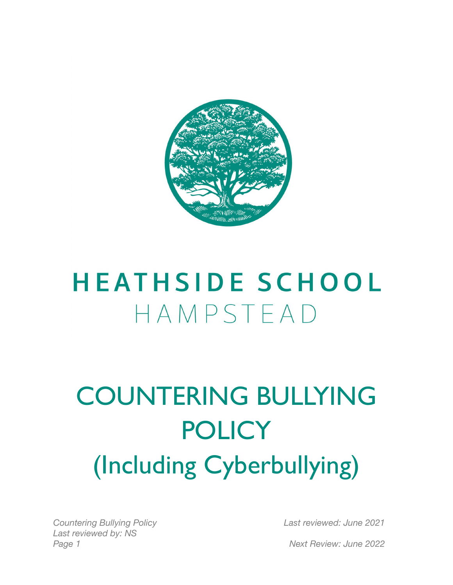

# **HEATHSIDE SCHOOL** HAMPSTEAD

# COUNTERING BULLYING **POLICY** (Including Cyberbullying)

*Countering Bullying Policy Last reviewed by: NS Page 1 Next Review: June 2022*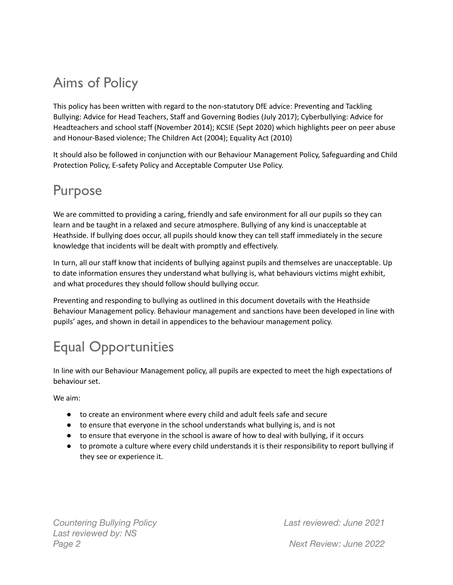### Aims of Policy

This policy has been written with regard to the non-statutory DfE advice: Preventing and Tackling Bullying: Advice for Head Teachers, Staff and Governing Bodies (July 2017); Cyberbullying: Advice for Headteachers and school staff (November 2014); KCSIE (Sept 2020) which highlights peer on peer abuse and Honour-Based violence; The Children Act (2004); Equality Act (2010)

It should also be followed in conjunction with our Behaviour Management Policy, Safeguarding and Child Protection Policy, E-safety Policy and Acceptable Computer Use Policy.

#### Purpose

We are committed to providing a caring, friendly and safe environment for all our pupils so they can learn and be taught in a relaxed and secure atmosphere. Bullying of any kind is unacceptable at Heathside. If bullying does occur, all pupils should know they can tell staff immediately in the secure knowledge that incidents will be dealt with promptly and effectively.

In turn, all our staff know that incidents of bullying against pupils and themselves are unacceptable. Up to date information ensures they understand what bullying is, what behaviours victims might exhibit, and what procedures they should follow should bullying occur.

Preventing and responding to bullying as outlined in this document dovetails with the Heathside Behaviour Management policy. Behaviour management and sanctions have been developed in line with pupils' ages, and shown in detail in appendices to the behaviour management policy.

# Equal Opportunities

In line with our Behaviour Management policy, all pupils are expected to meet the high expectations of behaviour set.

We aim:

- to create an environment where every child and adult feels safe and secure
- to ensure that everyone in the school understands what bullying is, and is not
- to ensure that everyone in the school is aware of how to deal with bullying, if it occurs
- to promote a culture where every child understands it is their responsibility to report bullying if they see or experience it.

*Countering Bullying Policy Last reviewed by: NS Page 2 Next Review: June 2022*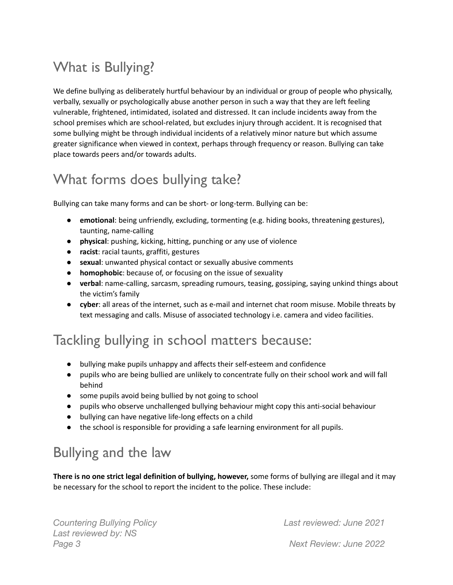# What is Bullying?

We define bullying as deliberately hurtful behaviour by an individual or group of people who physically, verbally, sexually or psychologically abuse another person in such a way that they are left feeling vulnerable, frightened, intimidated, isolated and distressed. It can include incidents away from the school premises which are school-related, but excludes injury through accident. It is recognised that some bullying might be through individual incidents of a relatively minor nature but which assume greater significance when viewed in context, perhaps through frequency or reason. Bullying can take place towards peers and/or towards adults.

#### What forms does bullying take?

Bullying can take many forms and can be short- or long-term. Bullying can be:

- **emotional**: being unfriendly, excluding, tormenting (e.g. hiding books, threatening gestures), taunting, name-calling
- **physical**: pushing, kicking, hitting, punching or any use of violence
- **racist**: racial taunts, graffiti, gestures
- **sexual**: unwanted physical contact or sexually abusive comments
- **homophobic**: because of, or focusing on the issue of sexuality
- **verbal**: name-calling, sarcasm, spreading rumours, teasing, gossiping, saying unkind things about the victim's family
- **cyber**: all areas of the internet, such as e-mail and internet chat room misuse. Mobile threats by text messaging and calls. Misuse of associated technology i.e. camera and video facilities.

#### Tackling bullying in school matters because:

- bullying make pupils unhappy and affects their self-esteem and confidence
- pupils who are being bullied are unlikely to concentrate fully on their school work and will fall behind
- some pupils avoid being bullied by not going to school
- pupils who observe unchallenged bullying behaviour might copy this anti-social behaviour
- bullying can have negative life-long effects on a child
- the school is responsible for providing a safe learning environment for all pupils.

#### Bullying and the law

**There is no one strict legal definition of bullying, however,** some forms of bullying are illegal and it may be necessary for the school to report the [incident](http://www.police.uk/) to the police. These include:

*Countering Bullying Policy Last reviewed by: NS Page 3 Next Review: June 2022*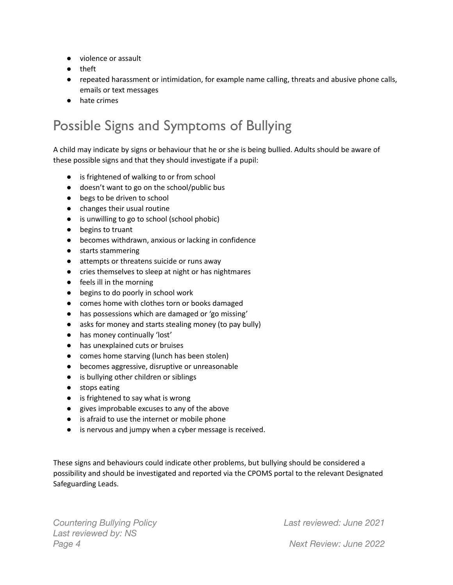- violence or assault
- theft
- repeated harassment or intimidation, for example name calling, threats and abusive phone calls, emails or text messages
- hate crimes

#### Possible Signs and Symptoms of Bullying

A child may indicate by signs or behaviour that he or she is being bullied. Adults should be aware of these possible signs and that they should investigate if a pupil:

- is frightened of walking to or from school
- doesn't want to go on the school/public bus
- begs to be driven to school
- changes their usual routine
- is unwilling to go to school (school phobic)
- begins to truant
- becomes withdrawn, anxious or lacking in confidence
- starts stammering
- attempts or threatens suicide or runs away
- cries themselves to sleep at night or has nightmares
- feels ill in the morning
- begins to do poorly in school work
- comes home with clothes torn or books damaged
- has possessions which are damaged or 'go missing'
- asks for money and starts stealing money (to pay bully)
- has money continually 'lost'
- has unexplained cuts or bruises
- comes home starving (lunch has been stolen)
- becomes aggressive, disruptive or unreasonable
- is bullying other children or siblings
- stops eating
- is frightened to say what is wrong
- gives improbable excuses to any of the above
- is afraid to use the internet or mobile phone
- is nervous and jumpy when a cyber message is received.

These signs and behaviours could indicate other problems, but bullying should be considered a possibility and should be investigated and reported via the CPOMS portal to the relevant Designated Safeguarding Leads.

*Countering Bullying Policy Last reviewed by: NS Page 4 Next Review: June 2022*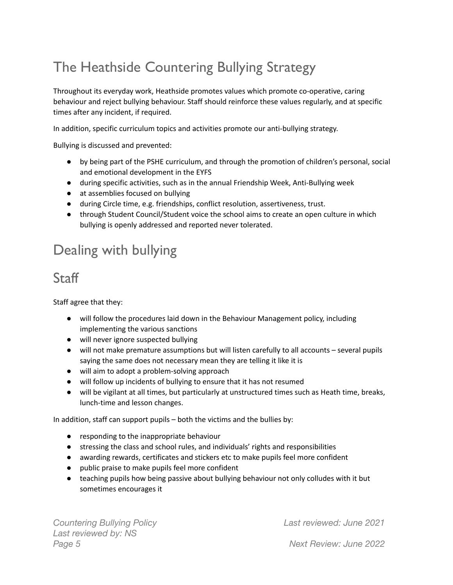# The Heathside Countering Bullying Strategy

Throughout its everyday work, Heathside promotes values which promote co-operative, caring behaviour and reject bullying behaviour. Staff should reinforce these values regularly, and at specific times after any incident, if required.

In addition, specific curriculum topics and activities promote our anti-bullying strategy.

Bullying is discussed and prevented:

- by being part of the PSHE curriculum, and through the promotion of children's personal, social and emotional development in the EYFS
- during specific activities, such as in the annual Friendship Week, Anti-Bullying week
- at assemblies focused on bullying
- during Circle time, e.g. friendships, conflict resolution, assertiveness, trust.
- through Student Council/Student voice the school aims to create an open culture in which bullying is openly addressed and reported never tolerated.

#### Dealing with bullying

#### **Staff**

Staff agree that they:

- will follow the procedures laid down in the Behaviour Management policy, including implementing the various sanctions
- will never ignore suspected bullying
- will not make premature assumptions but will listen carefully to all accounts several pupils saying the same does not necessary mean they are telling it like it is
- will aim to adopt a problem-solving approach
- will follow up incidents of bullying to ensure that it has not resumed
- will be vigilant at all times, but particularly at unstructured times such as Heath time, breaks, lunch-time and lesson changes.

In addition, staff can support pupils – both the victims and the bullies by:

- responding to the inappropriate behaviour
- stressing the class and school rules, and individuals' rights and responsibilities
- awarding rewards, certificates and stickers etc to make pupils feel more confident
- public praise to make pupils feel more confident
- teaching pupils how being passive about bullying behaviour not only colludes with it but sometimes encourages it

*Countering Bullying Policy Last reviewed by: NS Page 5 Next Review: June 2022*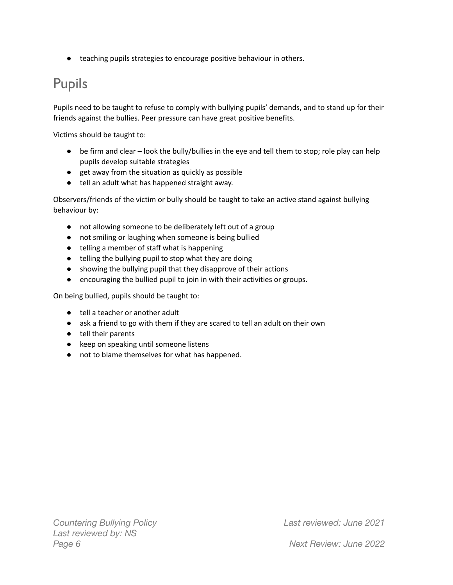● teaching pupils strategies to encourage positive behaviour in others.

#### Pupils

Pupils need to be taught to refuse to comply with bullying pupils' demands, and to stand up for their friends against the bullies. Peer pressure can have great positive benefits.

Victims should be taught to:

- be firm and clear look the bully/bullies in the eye and tell them to stop; role play can help pupils develop suitable strategies
- get away from the situation as quickly as possible
- tell an adult what has happened straight away.

Observers/friends of the victim or bully should be taught to take an active stand against bullying behaviour by:

- not allowing someone to be deliberately left out of a group
- not smiling or laughing when someone is being bullied
- telling a member of staff what is happening
- telling the bullying pupil to stop what they are doing
- showing the bullying pupil that they disapprove of their actions
- encouraging the bullied pupil to join in with their activities or groups.

On being bullied, pupils should be taught to:

- tell a teacher or another adult
- ask a friend to go with them if they are scared to tell an adult on their own
- tell their parents
- keep on speaking until someone listens
- not to blame themselves for what has happened.

*Countering Bullying Policy Last reviewed by: NS Page 6 Next Review: June 2022*